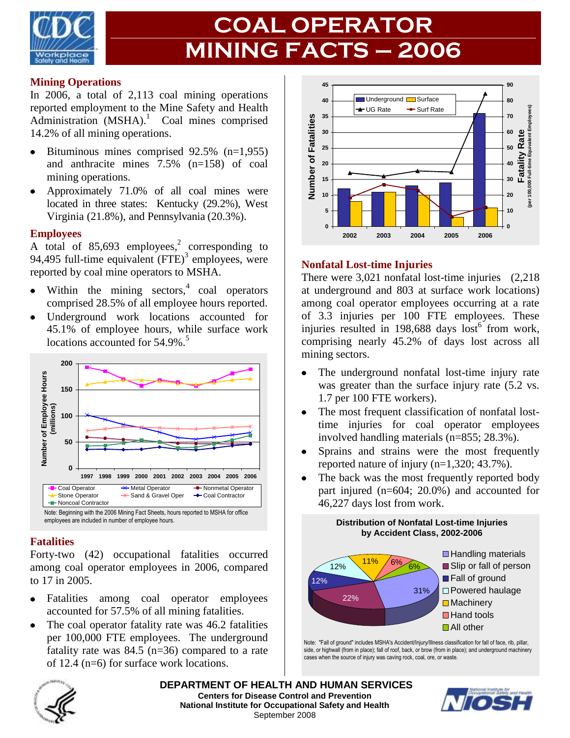

# **COAL OPERATOR MINING FACTS – 2006**

#### **Mining Operations**

In 2006, a total of 2,113 coal mining operations reported employment to the Mine Safety and Health Administration (MSHA).<sup>1</sup> Coal mines comprised 14.2% of all mining operations.

- $\bullet$  Bituminous mines comprised 92.5% (n=1,955) and anthracite mines 7.5% (n=158) of coal mining operations.
- Approximately 71.0% of all coal mines were located in three states: Kentucky (29.2%), West Virginia (21.8%), and Pennsylvania (20.3%).

#### **Employees**

A total of 85,693 employees, 2 corresponding to 94,495 full-time equivalent  $(FTE)^3$  employees, were reported by coal mine operators to MSHA.

- Within the mining sectors, $4 \text{ coal operators}$ comprised 28.5% of all employee hours reported.
- Underground work locations accounted for 45.1% of employee hours, while surface work locations accounted for 54.9%.<sup>5</sup>



#### **Fatalities**

Forty-two (42) occupational fatalities occurred among coal operator employees in 2006, compared to 17 in 2005.

- Fatalities among coal operator employees  $\bullet$ accounted for 57.5% of all mining fatalities.
- The coal operator fatality rate was 46.2 fatalities per 100,000 FTE employees. The underground fatality rate was  $84.5$  (n=36) compared to a rate of 12.4 (n=6) for surface work locations.



#### **Nonfatal Lost-time Injuries**

There were 3,021 nonfatal lost-time injuries (2,218) at underground and 803 at surface work locations) among coal operator employees occurring at a rate of 3.3 injuries per 100 FTE employees. These injuries resulted in 198,688 days  $\mathrm{lost}^6$  from work, comprising nearly 45.2% of days lost across all mining sectors.

- The underground nonfatal lost-time injury rate  $\bullet$ was greater than the surface injury rate (5.2 vs. 1.7 per 100 FTE workers).
- $\bullet$ The most frequent classification of nonfatal losttime injuries for coal operator employees involved handling materials (n=855; 28.3%).
- Sprains and strains were the most frequently  $\bullet$ reported nature of injury (n=1,320; 43.7%).
- The back was the most frequently reported body part injured (n=604; 20.0%) and accounted for 46,227 days lost from work.

**Distribution of Nonfatal Lost-time Injuries**



Note: "Fall of ground" includes MSHA's Accident/Injury/Illness classification for fall of face, rib, pillar, side, or highwall (from in place); fall of roof, back, or brow (from in place); and underground machinery cases when the source of injury was caving rock, coal, ore, or waste.



**DEPARTMENT OF HEALTH AND HUMAN SERVICES Centers for Disease Control and Prevention National Institute for Occupational Safety and Health** September 2008